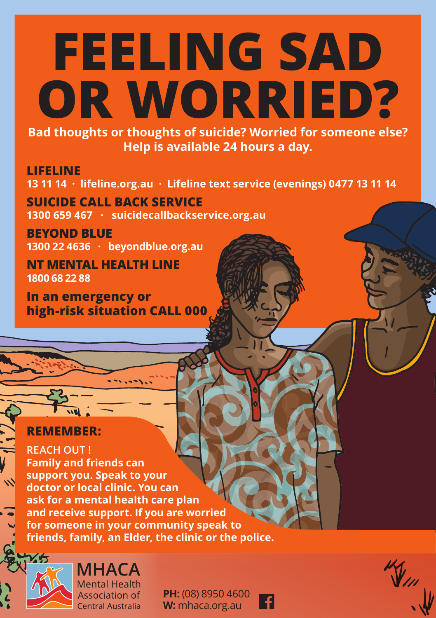# **FEELING SAD OR WORRIED?**

**Bad thoughts or thoughts of suicide? Worried for someone else? Help is available 24 hours a day.**

### **LIFELINE**

**13 11 14 · lifeline.org.au · Lifeline text service (evenings) 0477 13 11 14**

**SUICIDE CALL BACK SERVICE 1300 659 467 · suicidecallbackservice.org.au**

**BEYOND BLUE 1300 22 4636 · beyondblue.org.au**

**NT MENTAL HEALTH LINE 1800 68 22 88**

**In an emergency or high-risk situation CALL 000**

## **REMEMBER:**

**REACH OUT ! Family and friends can support you. Speak to your doctor or local clinic. You can ask for a mental health care plan and receive support. If you are worried for someone in your community speak to friends, family, an Elder, the clinic or the police.**



 $\mathbf{v}$ 

**MHACA Mental Health** Association of Central Australia

**PH:** (08) 8950 4600 **W:** mhaca.org.au